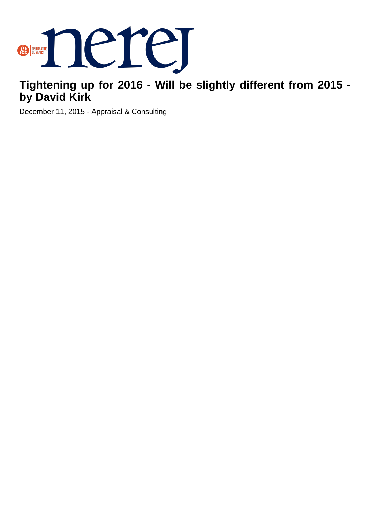

## **Tightening up for 2016 - Will be slightly different from 2015 by David Kirk**

December 11, 2015 - Appraisal & Consulting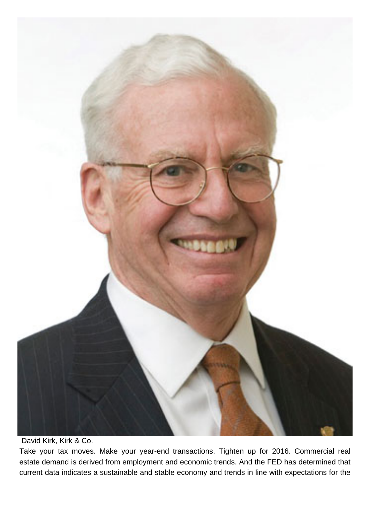

David Kirk, Kirk & Co.

Take your tax moves. Make your year-end transactions. Tighten up for 2016. Commercial real estate demand is derived from employment and economic trends. And the FED has determined that current data indicates a sustainable and stable economy and trends in line with expectations for the